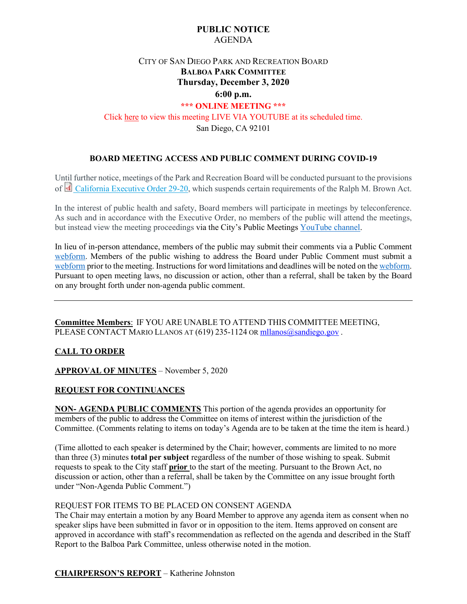# **PUBLIC NOTICE** AGENDA

# CITY OF SAN DIEGO PARK AND RECREATION BOARD **BALBOA PARK COMMITTEE Thursday, December 3, 2020 6:00 p.m.**

# **\*\*\* ONLINE MEETING \*\*\*** Click [here](https://www.youtube.com/channel/UC-4gY2k1D1ikzb25QM-O3eg?view_as=subscriber) to view this meeting LIVE VIA YOUTUBE at its scheduled time. San Diego, CA 92101

### **BOARD MEETING ACCESS AND PUBLIC COMMENT DURING COVID-19**

Until further notice, meetings of the Park and Recreation Board will be conducted pursuant to the provisions of **California Executive Order 29-20, which suspends certain requirements of the Ralph M. Brown Act.** 

In the interest of public health and safety, Board members will participate in meetings by teleconference. As such and in accordance with the Executive Order, no members of the public will attend the meetings, but instead view the meeting proceedings via the City's Public Meeting[s YouTube channel.](https://www.youtube.com/channel/UC-4gY2k1D1ikzb25QM-O3eg)

In lieu of in-person attendance, members of the public may submit their comments via a Public Comment [webform.](https://www.sandiego.gov/boards-and-commissions/public-comment) Members of the public wishing to address the Board under Public Comment must submit a [webform](https://www.sandiego.gov/boards-and-commissions/public-comment) prior to the meeting. Instructions for word limitations and deadlines will be noted on th[e webform.](https://www.sandiego.gov/boards-and-commissions/public-comment)  Pursuant to open meeting laws, no discussion or action, other than a referral, shall be taken by the Board on any brought forth under non-agenda public comment.

**Committee Members**: IF YOU ARE UNABLE TO ATTEND THIS COMMITTEE MEETING, PLEASE CONTACT MARIO LLANOS AT (619) 235-1124 O[R mllanos@sandiego.gov](mailto:mllanos@sandiego.gov).

### **CALL TO ORDER**

**APPROVAL OF MINUTES** – November 5, 2020

### **REQUEST FOR CONTINUANCES**

**NON- AGENDA PUBLIC COMMENTS** This portion of the agenda provides an opportunity for members of the public to address the Committee on items of interest within the jurisdiction of the Committee. (Comments relating to items on today's Agenda are to be taken at the time the item is heard.)

(Time allotted to each speaker is determined by the Chair; however, comments are limited to no more than three (3) minutes **total per subject** regardless of the number of those wishing to speak. Submit requests to speak to the City staff **prior** to the start of the meeting. Pursuant to the Brown Act, no discussion or action, other than a referral, shall be taken by the Committee on any issue brought forth under "Non-Agenda Public Comment.")

### REQUEST FOR ITEMS TO BE PLACED ON CONSENT AGENDA

The Chair may entertain a motion by any Board Member to approve any agenda item as consent when no speaker slips have been submitted in favor or in opposition to the item. Items approved on consent are approved in accordance with staff's recommendation as reflected on the agenda and described in the Staff Report to the Balboa Park Committee, unless otherwise noted in the motion.

**CHAIRPERSON'S REPORT** – Katherine Johnston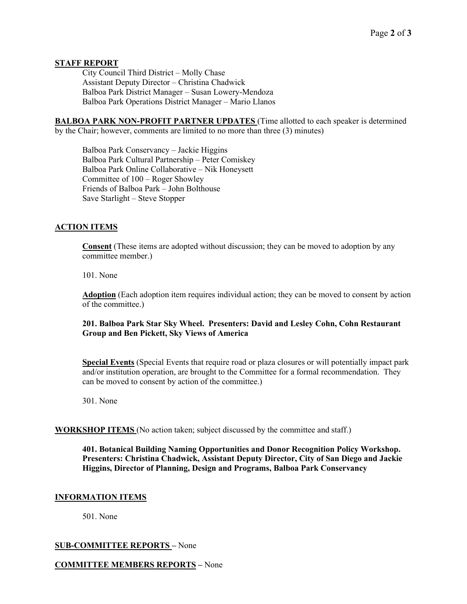## **STAFF REPORT**

City Council Third District – Molly Chase Assistant Deputy Director – Christina Chadwick Balboa Park District Manager – Susan Lowery-Mendoza Balboa Park Operations District Manager – Mario Llanos

**BALBOA PARK NON-PROFIT PARTNER UPDATES** (Time allotted to each speaker is determined by the Chair; however, comments are limited to no more than three (3) minutes)

Balboa Park Conservancy – Jackie Higgins Balboa Park Cultural Partnership – Peter Comiskey Balboa Park Online Collaborative – Nik Honeysett Committee of 100 – Roger Showley Friends of Balboa Park – John Bolthouse Save Starlight – Steve Stopper

# **ACTION ITEMS**

**Consent** (These items are adopted without discussion; they can be moved to adoption by any committee member.)

#### 101. None

**Adoption** (Each adoption item requires individual action; they can be moved to consent by action of the committee.)

**201. Balboa Park Star Sky Wheel. Presenters: David and Lesley Cohn, Cohn Restaurant Group and Ben Pickett, Sky Views of America**

**Special Events** (Special Events that require road or plaza closures or will potentially impact park and/or institution operation, are brought to the Committee for a formal recommendation. They can be moved to consent by action of the committee.)

301. None

### **WORKSHOP ITEMS** (No action taken; subject discussed by the committee and staff.)

**401. Botanical Building Naming Opportunities and Donor Recognition Policy Workshop. Presenters: Christina Chadwick, Assistant Deputy Director, City of San Diego and Jackie Higgins, Director of Planning, Design and Programs, Balboa Park Conservancy**

### **INFORMATION ITEMS**

501. None

## **SUB-COMMITTEE REPORTS –** None

### **COMMITTEE MEMBERS REPORTS –** None